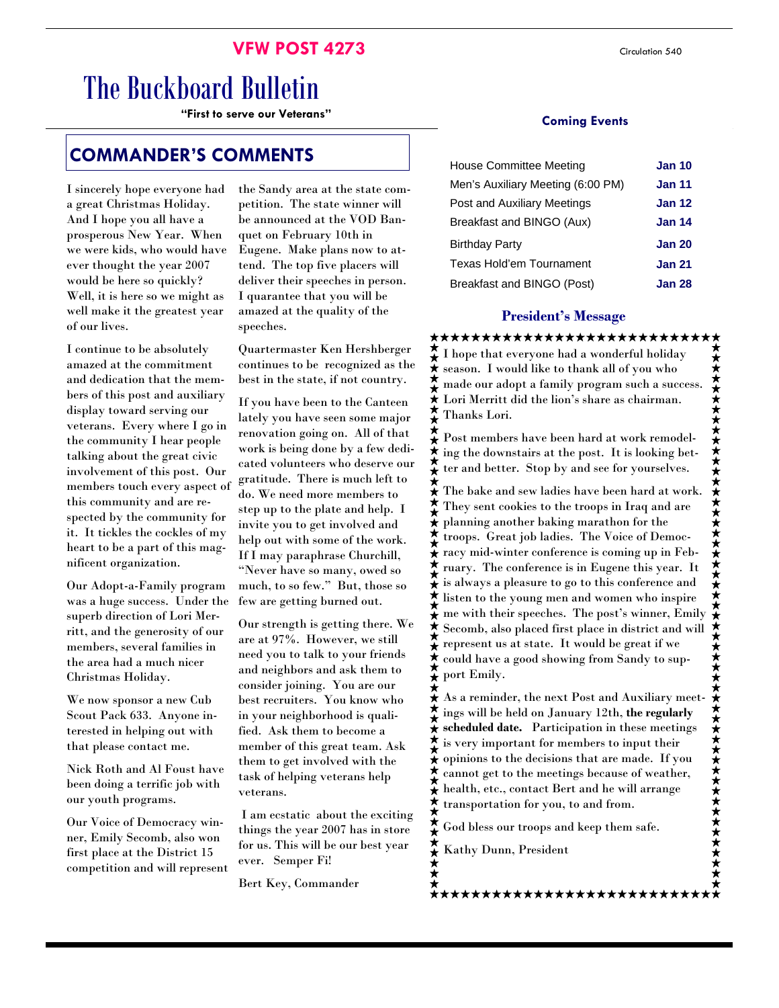# The Buckboard Bulletin

"First to serve our Veterans"

## **COMMANDER'S COMMENTS**

I sincerely hope everyone had a great Christmas Holiday. And I hope you all have a prosperous New Year. When we were kids, who would have ever thought the year 2007 would be here so quickly? Well, it is here so we might as well make it the greatest year of our lives.

I continue to be absolutely amazed at the commitment and dedication that the members of this post and auxiliary display toward serving our veterans. Every where I go in the community I hear people talking about the great civic involvement of this post. Our members touch every aspect of this community and are respected by the community for it. It tickles the cockles of my heart to be a part of this magnificent organization.

Our Adopt-a-Family program was a huge success. Under the superb direction of Lori Merritt, and the generosity of our members, several families in the area had a much nicer Christmas Holiday.

We now sponsor a new Cub Scout Pack 633. Anyone interested in helping out with that please contact me.

Nick Roth and Al Foust have been doing a terrific job with our youth programs.

Our Voice of Democracy winner, Emily Secomb, also won first place at the District 15 competition and will represent the Sandy area at the state competition. The state winner will be announced at the VOD Banquet on February 10th in Eugene. Make plans now to attend. The top five placers will deliver their speeches in person. I quarantee that you will be amazed at the quality of the speeches.

Quartermaster Ken Hershberger continues to be recognized as the best in the state, if not country.

If you have been to the Canteen lately you have seen some major renovation going on. All of that work is being done by a few dedicated volunteers who deserve our gratitude. There is much left to do. We need more members to step up to the plate and help. I invite you to get involved and help out with some of the work. If I may paraphrase Churchill, "Never have so many, owed so much, to so few." But, those so few are getting burned out.

Our strength is getting there. We are at 97%. However, we still need you to talk to your friends and neighbors and ask them to consider joining. You are our best recruiters. You know who in your neighborhood is qualified. Ask them to become a member of this great team. Ask them to get involved with the task of helping veterans help veterans.

 I am ecstatic about the exciting things the year 2007 has in store for us. This will be our best year ever. Semper Fi!

Bert Key, Commander

#### **Coming Events**

| <b>House Committee Meeting</b>    | <b>Jan 10</b> |
|-----------------------------------|---------------|
| Men's Auxiliary Meeting (6:00 PM) | <b>Jan 11</b> |
| Post and Auxiliary Meetings       | <b>Jan 12</b> |
| Breakfast and BINGO (Aux)         | <b>Jan 14</b> |
| Birthday Party                    | <b>Jan 20</b> |
| Texas Hold'em Tournament          | <b>Jan 21</b> |
| Breakfast and BINGO (Post)        | <b>Jan 28</b> |

#### **President's Message**

**President's Message** I hope that everyone had a wonderful holiday season. I would like to thank all of you who made our adopt a family program such a success. Lori Merritt did the lion's share as chairman. Thanks Lori.

Post members have been hard at work remodel- $\star$  ing the downstairs at the post. It is looking bet- $\star$  ter and better. Stop by and see for yourselves.

 $\star$  The bake and sew ladies have been hard at work.  $\bigstar$  They sent cookies to the troops in Iraq and are planning another baking marathon for the<br>  $\star$  troops. Great job ladies. The Voice of Don troops. Great job ladies. The Voice of Democ- $\hat{\star}$  racy mid-winter conference is coming up in February. The conference is in Eugene this year. It is always a pleasure to go to this conference and listen to the young men and women who inspire  $\hat{\star}$  me with their speeches. The post's winner, Emily Secomb, also placed first place in district and will ★ **Present us at state.** It would be great if we could have a good showing from Sandy to sup- $\star$  could have a<br> $\star$  port Emily.

 $\hat{+}$  As a reminder, the next Post and Auxiliary meetings will be held on January 12th, **the regularly scheduled date.** Participation in these meetings is very important for members to input their opinions to the decisions that are made. If you cannot get to the meetings because of weather, health, etc., contact Bert and he will arrange  $\star$  transportation for you, to and from.

\*\*\*\*\*\*\*\*\*\*\*\*\*\*\*\*\*\*\*\*\*\*\*\*\*\*\*\*

God bless our troops and keep them safe.

Kathy Dunn, President

\*\*\*\*\*\*\*\*\*\*\*\*\*\*\*\*\*\*\*\*\*\*\*\*

\*\*\*\*\*\*\*\*\*\*\*\*\*\*\*\*\*\*\*\*\*\*\*\*\*\*\*\*\*\*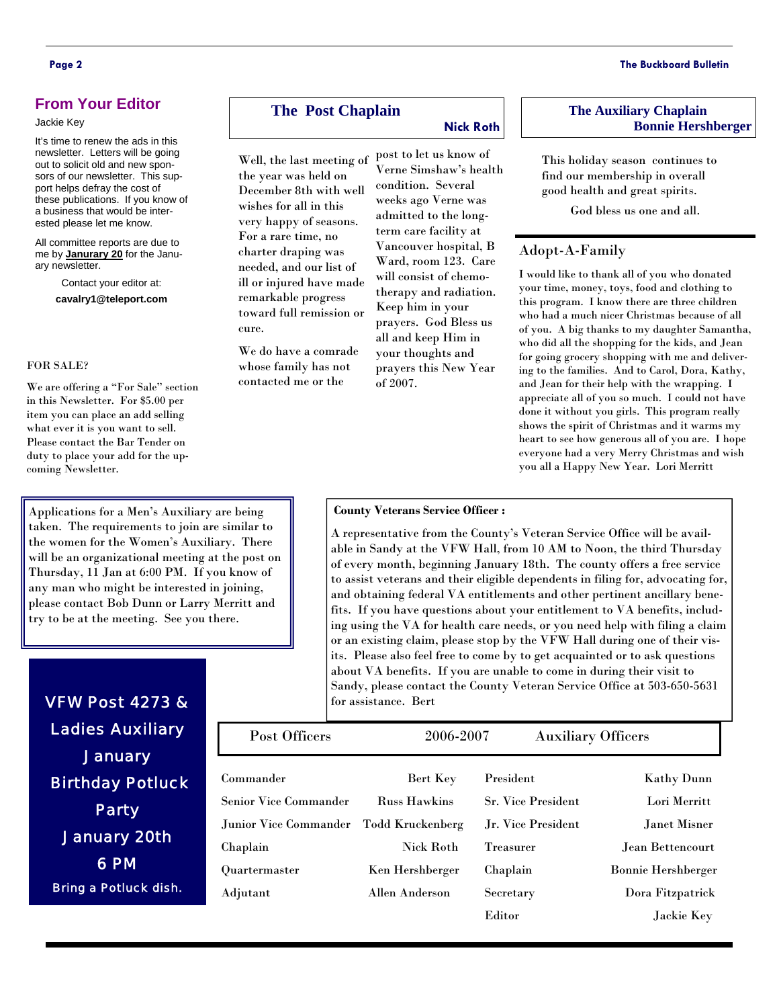#### **From Your Editor**

#### Jackie Key

It's time to renew the ads in this newsletter. Letters will be going out to solicit old and new sponsors of our newsletter. This support helps defray the cost of these publications. If you know of a business that would be interested please let me know.

All committee reports are due to me by **Janurary 20** for the January newsletter.

Contact your editor at: **cavalry1@teleport.com** 

#### FOR SALE?

We are offering a "For Sale" section in this Newsletter. For \$5.00 per item you can place an add selling what ever it is you want to sell. Please contact the Bar Tender on duty to place your add for the upcoming Newsletter.

Applications for a Men's Auxiliary are being taken. The requirements to join are similar to the women for the Women's Auxiliary. There will be an organizational meeting at the post on Thursday, 11 Jan at 6:00 PM. If you know of any man who might be interested in joining, please contact Bob Dunn or Larry Merritt and try to be at the meeting. See you there.

#### **The Post Chaplain**

**Nick Roth** 

Well, the last meeting of the year was held on December 8th with well wishes for all in this very happy of seasons. For a rare time, no charter draping was needed, and our list of ill or injured have made remarkable progress toward full remission or cure.

We do have a comrade whose family has not contacted me or the

Verne Simshaw's health condition. Several weeks ago Verne was admitted to the longterm care facility at Vancouver hospital, B Ward, room 123. Care will consist of chemotherapy and radiation. Keep him in your prayers. God Bless us all and keep Him in your thoughts and prayers this New Year of 2007.

post to let us know of

#### **The Auxiliary Chaplain Bonnie Hershberger**

This holiday season continues to find our membership in overall good health and great spirits.

God bless us one and all.

#### Adopt-A-Family

I would like to thank all of you who donated your time, money, toys, food and clothing to this program. I know there are three children who had a much nicer Christmas because of all of you. A big thanks to my daughter Samantha, who did all the shopping for the kids, and Jean for going grocery shopping with me and delivering to the families. And to Carol, Dora, Kathy, and Jean for their help with the wrapping. I appreciate all of you so much. I could not have done it without you girls. This program really shows the spirit of Christmas and it warms my heart to see how generous all of you are. I hope everyone had a very Merry Christmas and wish you all a Happy New Year. Lori Merritt

#### **County Veterans Service Officer :**

A representative from the County's Veteran Service Office will be available in Sandy at the VFW Hall, from 10 AM to Noon, the third Thursday of every month, beginning January 18th. The county offers a free service to assist veterans and their eligible dependents in filing for, advocating for, and obtaining federal VA entitlements and other pertinent ancillary benefits. If you have questions about your entitlement to VA benefits, including using the VA for health care needs, or you need help with filing a claim or an existing claim, please stop by the VFW Hall during one of their visits. Please also feel free to come by to get acquainted or to ask questions about VA benefits. If you are unable to come in during their visit to Sandy, please contact the County Veteran Service Office at 503-650-5631 for assistance. Bert

| Post Officers                | 2006-2007           | <b>Auxiliary Officers</b> |                           |
|------------------------------|---------------------|---------------------------|---------------------------|
| Commander                    | Bert Key            | President                 | <b>Kathy Dunn</b>         |
| <b>Senior Vice Commander</b> | <b>Russ Hawkins</b> | <b>Sr. Vice President</b> | Lori Merritt              |
| <b>Junior Vice Commander</b> | Todd Kruckenberg    | Jr. Vice President        | Janet Misner              |
| Chaplain                     | <b>Nick Roth</b>    | <b>Treasurer</b>          | Jean Bettencourt          |
| Quartermaster                | Ken Hershberger     | Chaplain                  | <b>Bonnie Hershberger</b> |
| Adjutant                     | Allen Anderson      | Secretary                 | Dora Fitzpatrick          |
|                              |                     | Editor                    | Jackie Key                |

Ladies Auxiliary **January**  Birthday Potluck Party January 20th 6 PM Bring a Potluck dish.

VFW Post 4273 &

**Page 2 The Buckboard Bulletin**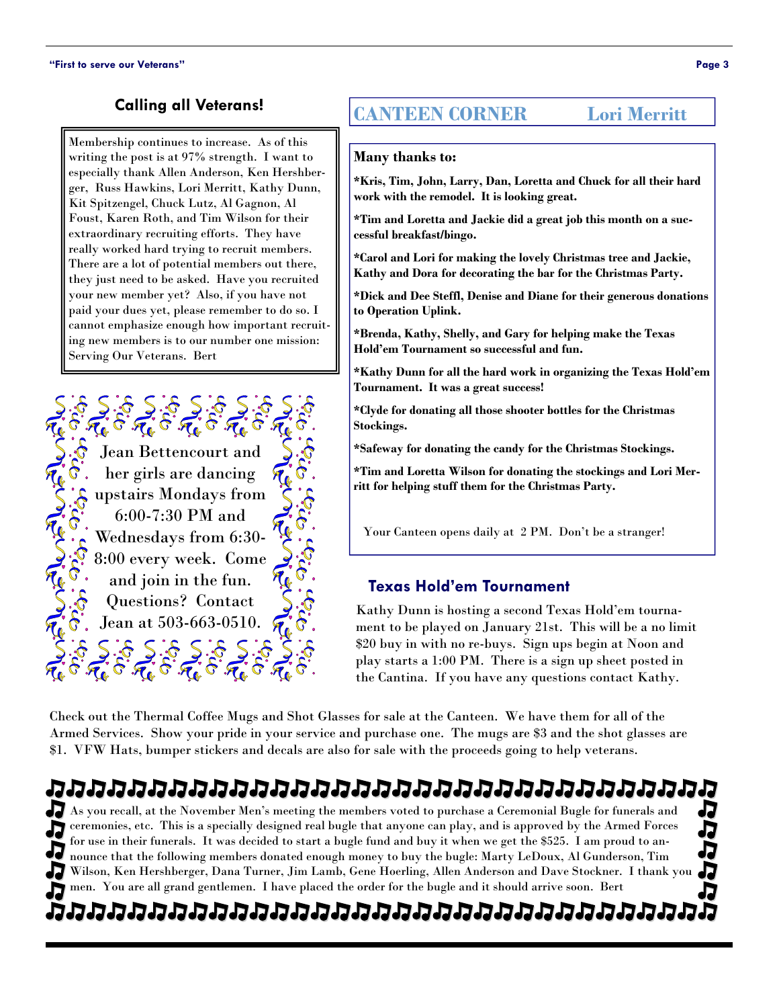### **Calling all Veterans!**

Membership continues to increase. As of this writing the post is at 97% strength. I want to especially thank Allen Anderson, Ken Hershberger, Russ Hawkins, Lori Merritt, Kathy Dunn, Kit Spitzengel, Chuck Lutz, Al Gagnon, Al Foust, Karen Roth, and Tim Wilson for their extraordinary recruiting efforts. They have really worked hard trying to recruit members. There are a lot of potential members out there, they just need to be asked. Have you recruited your new member yet? Also, if you have not paid your dues yet, please remember to do so. I cannot emphasize enough how important recruiting new members is to our number one mission: Serving Our Veterans. Bert



## **CANTEEN CORNER Lori Merritt**

#### **Many thanks to:**

**\*Kris, Tim, John, Larry, Dan, Loretta and Chuck for all their hard work with the remodel. It is looking great.** 

**\*Tim and Loretta and Jackie did a great job this month on a successful breakfast/bingo.** 

**\*Carol and Lori for making the lovely Christmas tree and Jackie, Kathy and Dora for decorating the bar for the Christmas Party.** 

**\*Dick and Dee Steffl, Denise and Diane for their generous donations to Operation Uplink.** 

**\*Brenda, Kathy, Shelly, and Gary for helping make the Texas Hold'em Tournament so successful and fun.** 

**\*Kathy Dunn for all the hard work in organizing the Texas Hold'em Tournament. It was a great success!** 

**\*Clyde for donating all those shooter bottles for the Christmas Stockings.** 

**\*Safeway for donating the candy for the Christmas Stockings.** 

**\*Tim and Loretta Wilson for donating the stockings and Lori Merritt for helping stuff them for the Christmas Party.** 

Your Canteen opens daily at 2 PM. Don't be a stranger!

#### **Texas Hold'em Tournament**

Kathy Dunn is hosting a second Texas Hold'em tournament to be played on January 21st. This will be a no limit \$20 buy in with no re-buys. Sign ups begin at Noon and play starts a 1:00 PM. There is a sign up sheet posted in the Cantina. If you have any questions contact Kathy.

Check out the Thermal Coffee Mugs and Shot Glasses for sale at the Canteen. We have them for all of the Armed Services. Show your pride in your service and purchase one. The mugs are \$3 and the shot glasses are \$1. VFW Hats, bumper stickers and decals are also for sale with the proceeds going to help veterans.

## n de lette lette lette lette lette lette lette lette lette lette

As you recall, at the November Men's meeting the members voted to purchase a Ceremonial Bugle for funerals and ceremonies, etc. This is a specially designed real bugle that anyone can play, and is approved by the Armed Forces ワ for use in their funerals. It was decided to start a bugle fund and buy it when we get the \$525. I am proud to announce that the following members donated enough money to buy the bugle: Marty LeDoux, Al Gunderson, Tim Wilson, Ken Hershberger, Dana Turner, Jim Lamb, Gene Hoerling, Allen Anderson and Dave Stockner. I thank you men. You are all grand gentlemen. I have placed the order for the bugle and it should arrive soon. Bert

## המממממממממממממממממממממממ